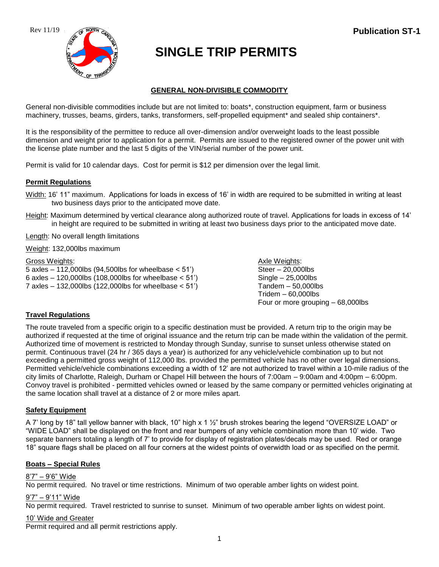



# **SINGLE TRIP PERMITS**

# **GENERAL NON-DIVISIBLE COMMODITY**

General non-divisible commodities include but are not limited to: boats\*, construction equipment, farm or business machinery, trusses, beams, girders, tanks, transformers, self-propelled equipment\* and sealed ship containers\*.

It is the responsibility of the permittee to reduce all over-dimension and/or overweight loads to the least possible dimension and weight prior to application for a permit. Permits are issued to the registered owner of the power unit with the license plate number and the last 5 digits of the VIN/serial number of the power unit.

Permit is valid for 10 calendar days. Cost for permit is \$12 per dimension over the legal limit.

# **Permit Regulations**

- Width: 16' 11" maximum. Applications for loads in excess of 16' in width are required to be submitted in writing at least two business days prior to the anticipated move date.
- Height: Maximum determined by vertical clearance along authorized route of travel. Applications for loads in excess of 14' in height are required to be submitted in writing at least two business days prior to the anticipated move date.

Length: No overall length limitations

Weight: 132,000lbs maximum

## Gross Weights: Axle Weights: Axle Weights: Axle Weights: Axle Weights: Axle Weights: Axle Weights: Axle Weights: Axle Weights: Axle Weights: Axle Weights: Axle Weights: Axle Weights: Axle Weights: Axle Weights: Axle Meight

 $5$  axles  $-112,000$ lbs (94,500lbs for wheelbase  $< 51'$ ) Steer  $-20,000$ lbs 6 axles – 120,000lbs (108,000lbs for wheelbase  $< 51'$ ) Single – 25,000lbs 7 axles – 132,000lbs (122,000lbs for wheelbase < 51') Tandem – 50,000lbs

Tridem – 60,000lbs Four or more grouping – 68,000lbs

# **Travel Regulations**

The route traveled from a specific origin to a specific destination must be provided. A return trip to the origin may be authorized if requested at the time of original issuance and the return trip can be made within the validation of the permit. Authorized time of movement is restricted to Monday through Sunday, sunrise to sunset unless otherwise stated on permit. Continuous travel (24 hr / 365 days a year) is authorized for any vehicle/vehicle combination up to but not exceeding a permitted gross weight of 112,000 lbs. provided the permitted vehicle has no other over legal dimensions. Permitted vehicle/vehicle combinations exceeding a width of 12' are not authorized to travel within a 10-mile radius of the city limits of Charlotte, Raleigh, Durham or Chapel Hill between the hours of 7:00am – 9:00am and 4:00pm – 6:00pm. Convoy travel is prohibited - permitted vehicles owned or leased by the same company or permitted vehicles originating at the same location shall travel at a distance of 2 or more miles apart.

## **Safety Equipment**

A 7' long by 18" tall yellow banner with black, 10" high x 1 ½" brush strokes bearing the legend "OVERSIZE LOAD" or "WIDE LOAD" shall be displayed on the front and rear bumpers of any vehicle combination more than 10' wide. Two separate banners totaling a length of 7' to provide for display of registration plates/decals may be used. Red or orange 18" square flags shall be placed on all four corners at the widest points of overwidth load or as specified on the permit.

## **Boats – Special Rules**

## 8'7" – 9'6" Wide

No permit required. No travel or time restrictions. Minimum of two operable amber lights on widest point.

## 9'7" – 9'11" Wide

No permit required. Travel restricted to sunrise to sunset. Minimum of two operable amber lights on widest point.

## 10' Wide and Greater

Permit required and all permit restrictions apply.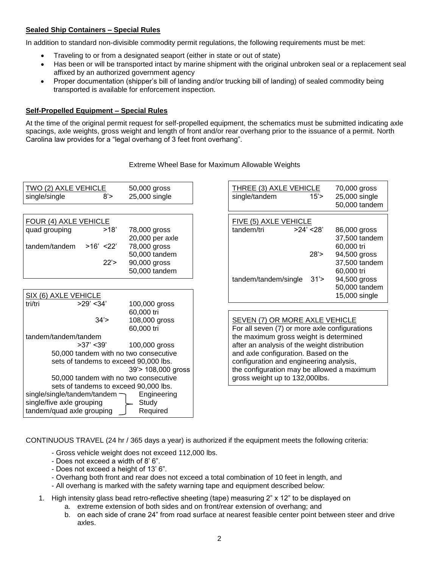# **Sealed Ship Containers – Special Rules**

In addition to standard non-divisible commodity permit regulations, the following requirements must be met:

- Traveling to or from a designated seaport (either in state or out of state)
- Has been or will be transported intact by marine shipment with the original unbroken seal or a replacement seal affixed by an authorized government agency
- Proper documentation (shipper's bill of landing and/or trucking bill of landing) of sealed commodity being transported is available for enforcement inspection.

#### **Self-Propelled Equipment – Special Rules**

At the time of the original permit request for self-propelled equipment, the schematics must be submitted indicating axle spacings, axle weights, gross weight and length of front and/or rear overhang prior to the issuance of a permit. North Carolina law provides for a "legal overhang of 3 feet front overhang".

| <b>TWO (2) AXLE VEHICLE</b><br>single/single<br>8' | 50,000 gross<br>25,000 single              | THREE (3) AXLE VEHICLE<br>single/tandem       | 15'        | 70,000 gross<br>25,000 single<br>50,000 tandem |
|----------------------------------------------------|--------------------------------------------|-----------------------------------------------|------------|------------------------------------------------|
| FOUR (4) AXLE VEHICLE                              |                                            | FIVE (5) AXLE VEHICLE                         |            |                                                |
| quad grouping<br>>18'                              | 78,000 gross                               | tandem/tri                                    | >24' < 28' | 86,000 gross                                   |
|                                                    | 20,000 per axle                            |                                               |            | 37,500 tandem                                  |
| tandem/tandem<br>$>16'$ <22'                       | 78,000 gross                               |                                               |            | 60,000 tri                                     |
|                                                    | 50,000 tandem                              |                                               | 28'        | 94,500 gross                                   |
| 22'                                                | 90,000 gross                               |                                               |            | 37,500 tandem                                  |
|                                                    | 50,000 tandem                              |                                               |            | 60,000 tri                                     |
|                                                    |                                            | tandem/tandem/single                          | 31'        | 94,500 gross                                   |
|                                                    |                                            |                                               |            | 50,000 tandem                                  |
| SIX (6) AXLE VEHICLE                               |                                            |                                               |            | 15,000 single                                  |
| tri/tri<br>$>29'$ < 34'                            | 100,000 gross                              |                                               |            |                                                |
|                                                    | 60,000 tri                                 |                                               |            |                                                |
| 34'                                                | 108,000 gross                              | SEVEN (7) OR MORE AXLE VEHICLE                |            |                                                |
|                                                    | 60,000 tri                                 | For all seven (7) or more axle configurations |            |                                                |
| tandem/tandem/tandem                               |                                            | the maximum gross weight is determined        |            |                                                |
| $>37'$ < 39'                                       | 100,000 gross                              | after an analysis of the weight distribution  |            |                                                |
| 50,000 tandem with no two consecutive              |                                            | and axle configuration. Based on the          |            |                                                |
| sets of tandems to exceed 90,000 lbs.              |                                            | configuration and engineering analysis,       |            |                                                |
|                                                    | the configuration may be allowed a maximum |                                               |            |                                                |
| 50,000 tandem with no two consecutive              |                                            | gross weight up to 132,000lbs.                |            |                                                |
| sets of tandems to exceed 90,000 lbs.              |                                            |                                               |            |                                                |
| single/single/tandem/tandem $\neg$                 | Engineering                                |                                               |            |                                                |
| single/five axle grouping                          | Study                                      |                                               |            |                                                |
| tandem/quad axle grouping                          | Required                                   |                                               |            |                                                |

Extreme Wheel Base for Maximum Allowable Weights

CONTINUOUS TRAVEL (24 hr / 365 days a year) is authorized if the equipment meets the following criteria:

- Gross vehicle weight does not exceed 112,000 lbs.
- Does not exceed a width of 8' 6".
- Does not exceed a height of 13' 6".
- Overhang both front and rear does not exceed a total combination of 10 feet in length, and
- All overhang is marked with the safety warning tape and equipment described below:
- 1. High intensity glass bead retro-reflective sheeting (tape) measuring 2" x 12" to be displayed on
	- a. extreme extension of both sides and on front/rear extension of overhang; and
	- b. on each side of crane 24" from road surface at nearest feasible center point between steer and drive axles.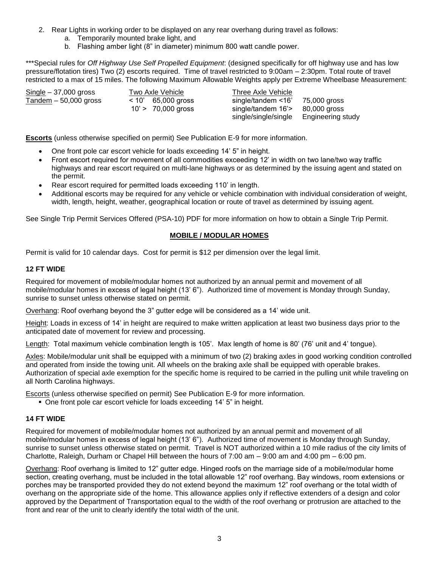- 2. Rear Lights in working order to be displayed on any rear overhang during travel as follows:
	- a. Temporarily mounted brake light, and
	- b. Flashing amber light (8" in diameter) minimum 800 watt candle power.

\*\*\*Special rules for *Off Highway Use Self Propelled Equipment*: (designed specifically for off highway use and has low pressure/flotation tires) Two (2) escorts required. Time of travel restricted to 9:00am – 2:30pm. Total route of travel restricted to a max of 15 miles. The following Maximum Allowable Weights apply per Extreme Wheelbase Measurement:

Single – 37,000 gross Two Axle Vehicle Three Axle Vehicle Tandem – 50,000 gross < 10' 65,000 gross single/tandem <16' 75,000 gross 10' > 70,000 gross single/tandem 16'> 80,000 gross

single/single/single Engineering study

**Escorts** (unless otherwise specified on permit) See Publication E-9 for more information.

- One front pole car escort vehicle for loads exceeding 14' 5" in height.
- Front escort required for movement of all commodities exceeding 12' in width on two lane/two way traffic highways and rear escort required on multi-lane highways or as determined by the issuing agent and stated on the permit.
- Rear escort required for permitted loads exceeding 110' in length.
- Additional escorts may be required for any vehicle or vehicle combination with individual consideration of weight, width, length, height, weather, geographical location or route of travel as determined by issuing agent.

See Single Trip Permit Services Offered (PSA-10) PDF for more information on how to obtain a Single Trip Permit.

#### **MOBILE / MODULAR HOMES**

Permit is valid for 10 calendar days. Cost for permit is \$12 per dimension over the legal limit.

#### **12 FT WIDE**

Required for movement of mobile/modular homes not authorized by an annual permit and movement of all mobile/modular homes in excess of legal height (13' 6"). Authorized time of movement is Monday through Sunday, sunrise to sunset unless otherwise stated on permit.

Overhang: Roof overhang beyond the 3" gutter edge will be considered as a 14' wide unit.

Height: Loads in excess of 14' in height are required to make written application at least two business days prior to the anticipated date of movement for review and processing.

Length: Total maximum vehicle combination length is 105'. Max length of home is 80' (76' unit and 4' tongue).

Axles: Mobile/modular unit shall be equipped with a minimum of two (2) braking axles in good working condition controlled and operated from inside the towing unit. All wheels on the braking axle shall be equipped with operable brakes. Authorization of special axle exemption for the specific home is required to be carried in the pulling unit while traveling on all North Carolina highways.

Escorts (unless otherwise specified on permit) See Publication E-9 for more information.

■ One front pole car escort vehicle for loads exceeding 14' 5" in height.

# **14 FT WIDE**

Required for movement of mobile/modular homes not authorized by an annual permit and movement of all mobile/modular homes in excess of legal height (13' 6"). Authorized time of movement is Monday through Sunday, sunrise to sunset unless otherwise stated on permit. Travel is NOT authorized within a 10 mile radius of the city limits of Charlotte, Raleigh, Durham or Chapel Hill between the hours of 7:00 am – 9:00 am and 4:00 pm – 6:00 pm.

Overhang: Roof overhang is limited to 12" gutter edge. Hinged roofs on the marriage side of a mobile/modular home section, creating overhang, must be included in the total allowable 12" roof overhang. Bay windows, room extensions or porches may be transported provided they do not extend beyond the maximum 12" roof overhang or the total width of overhang on the appropriate side of the home. This allowance applies only if reflective extenders of a design and color approved by the Department of Transportation equal to the width of the roof overhang or protrusion are attached to the front and rear of the unit to clearly identify the total width of the unit.